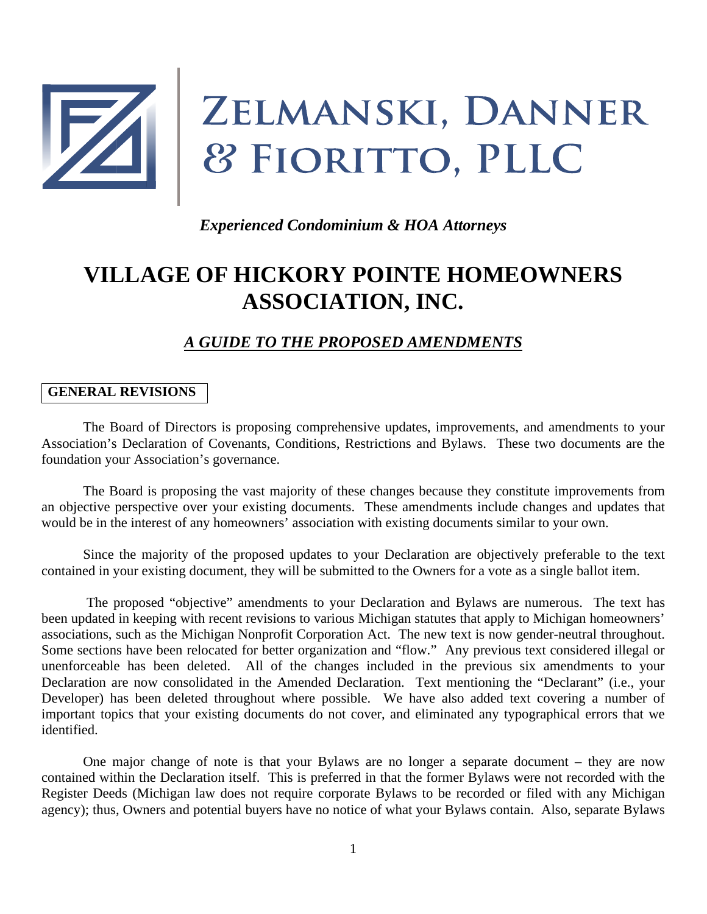

# ZELMANSKI, DANNER 8 FIORITTO, PLLC

*Experienced Condominium & HOA Attorneys*

# **VILLAGE OF HICKORY POINTE HOMEOWNERS ASSOCIATION, INC.**

# *A GUIDE TO THE PROPOSED AMENDMENTS*

#### **GENERAL REVISIONS**

The Board of Directors is proposing comprehensive updates, improvements, and amendments to your Association's Declaration of Covenants, Conditions, Restrictions and Bylaws. These two documents are the foundation your Association's governance.

The Board is proposing the vast majority of these changes because they constitute improvements from an objective perspective over your existing documents. These amendments include changes and updates that would be in the interest of any homeowners' association with existing documents similar to your own.

Since the majority of the proposed updates to your Declaration are objectively preferable to the text contained in your existing document, they will be submitted to the Owners for a vote as a single ballot item.

The proposed "objective" amendments to your Declaration and Bylaws are numerous. The text has been updated in keeping with recent revisions to various Michigan statutes that apply to Michigan homeowners' associations, such as the Michigan Nonprofit Corporation Act. The new text is now gender-neutral throughout. Some sections have been relocated for better organization and "flow." Any previous text considered illegal or unenforceable has been deleted. All of the changes included in the previous six amendments to your Declaration are now consolidated in the Amended Declaration. Text mentioning the "Declarant" (i.e., your Developer) has been deleted throughout where possible. We have also added text covering a number of important topics that your existing documents do not cover, and eliminated any typographical errors that we identified.

One major change of note is that your Bylaws are no longer a separate document – they are now contained within the Declaration itself. This is preferred in that the former Bylaws were not recorded with the Register Deeds (Michigan law does not require corporate Bylaws to be recorded or filed with any Michigan agency); thus, Owners and potential buyers have no notice of what your Bylaws contain. Also, separate Bylaws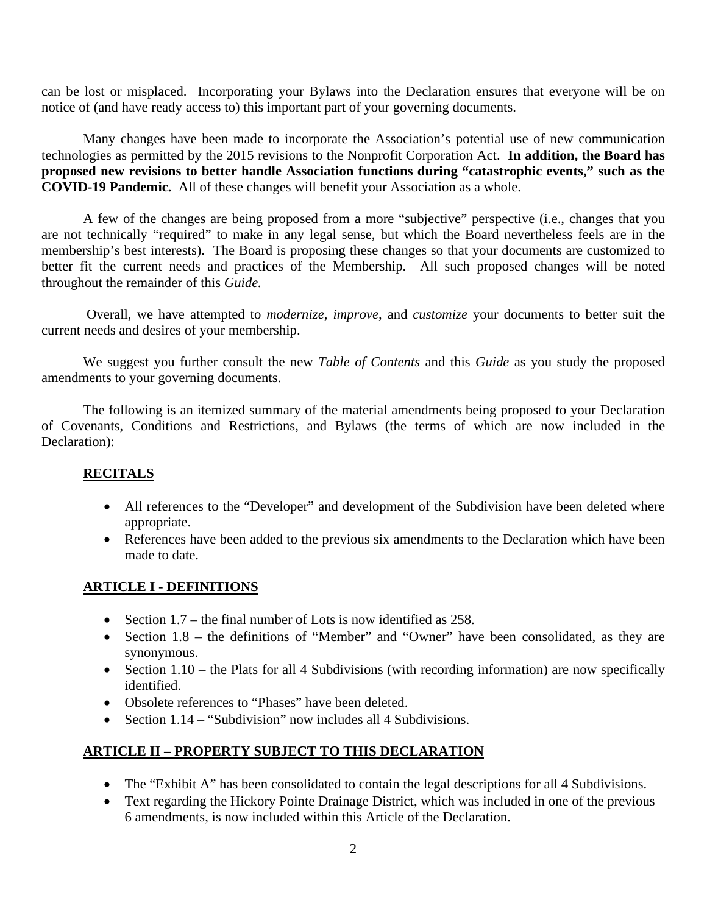can be lost or misplaced. Incorporating your Bylaws into the Declaration ensures that everyone will be on notice of (and have ready access to) this important part of your governing documents.

Many changes have been made to incorporate the Association's potential use of new communication technologies as permitted by the 2015 revisions to the Nonprofit Corporation Act. **In addition, the Board has proposed new revisions to better handle Association functions during "catastrophic events," such as the COVID-19 Pandemic.** All of these changes will benefit your Association as a whole.

A few of the changes are being proposed from a more "subjective" perspective (i.e., changes that you are not technically "required" to make in any legal sense, but which the Board nevertheless feels are in the membership's best interests). The Board is proposing these changes so that your documents are customized to better fit the current needs and practices of the Membership. All such proposed changes will be noted throughout the remainder of this *Guide.*

Overall, we have attempted to *modernize, improve,* and *customize* your documents to better suit the current needs and desires of your membership.

We suggest you further consult the new *Table of Contents* and this *Guide* as you study the proposed amendments to your governing documents.

The following is an itemized summary of the material amendments being proposed to your Declaration of Covenants, Conditions and Restrictions, and Bylaws (the terms of which are now included in the Declaration):

#### **RECITALS**

- All references to the "Developer" and development of the Subdivision have been deleted where appropriate.
- References have been added to the previous six amendments to the Declaration which have been made to date.

# **ARTICLE I - DEFINITIONS**

- Section  $1.7$  the final number of Lots is now identified as 258.
- Section 1.8 the definitions of "Member" and "Owner" have been consolidated, as they are synonymous.
- Section 1.10 the Plats for all 4 Subdivisions (with recording information) are now specifically identified.
- Obsolete references to "Phases" have been deleted.
- Section  $1.14 -$  "Subdivision" now includes all 4 Subdivisions.

#### **ARTICLE II – PROPERTY SUBJECT TO THIS DECLARATION**

- The "Exhibit A" has been consolidated to contain the legal descriptions for all 4 Subdivisions.
- Text regarding the Hickory Pointe Drainage District, which was included in one of the previous 6 amendments, is now included within this Article of the Declaration.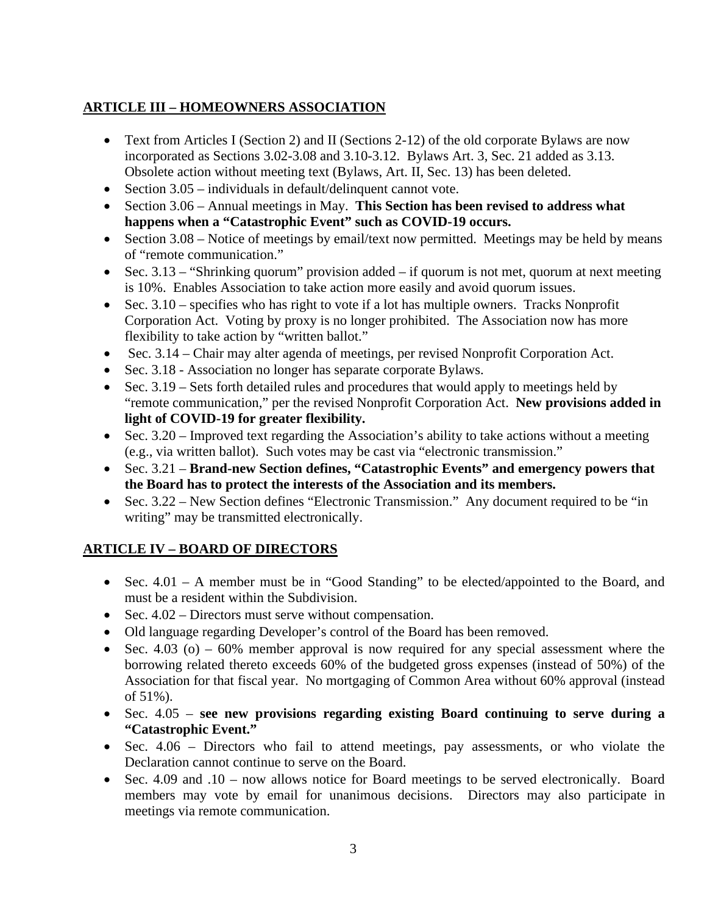# **ARTICLE III – HOMEOWNERS ASSOCIATION**

- Text from Articles I (Section 2) and II (Sections 2-12) of the old corporate Bylaws are now incorporated as Sections 3.02-3.08 and 3.10-3.12. Bylaws Art. 3, Sec. 21 added as 3.13. Obsolete action without meeting text (Bylaws, Art. II, Sec. 13) has been deleted.
- Section 3.05 individuals in default/delinquent cannot vote.
- Section 3.06 Annual meetings in May. **This Section has been revised to address what happens when a "Catastrophic Event" such as COVID-19 occurs.**
- Section 3.08 Notice of meetings by email/text now permitted. Meetings may be held by means of "remote communication."
- Sec.  $3.13$  "Shrinking quorum" provision added if quorum is not met, quorum at next meeting is 10%. Enables Association to take action more easily and avoid quorum issues.
- Sec.  $3.10$  specifies who has right to vote if a lot has multiple owners. Tracks Nonprofit Corporation Act. Voting by proxy is no longer prohibited. The Association now has more flexibility to take action by "written ballot."
- Sec. 3.14 Chair may alter agenda of meetings, per revised Nonprofit Corporation Act.
- Sec. 3.18 Association no longer has separate corporate Bylaws.
- Sec.  $3.19$  Sets forth detailed rules and procedures that would apply to meetings held by "remote communication," per the revised Nonprofit Corporation Act. **New provisions added in light of COVID-19 for greater flexibility.**
- Sec. 3.20 Improved text regarding the Association's ability to take actions without a meeting (e.g., via written ballot). Such votes may be cast via "electronic transmission."
- Sec. 3.21 **Brand-new Section defines, "Catastrophic Events" and emergency powers that the Board has to protect the interests of the Association and its members.**
- Sec. 3.22 New Section defines "Electronic Transmission." Any document required to be "in writing" may be transmitted electronically.

# **ARTICLE IV – BOARD OF DIRECTORS**

- Sec. 4.01 A member must be in "Good Standing" to be elected/appointed to the Board, and must be a resident within the Subdivision.
- Sec. 4.02 Directors must serve without compensation.
- Old language regarding Developer's control of the Board has been removed.
- Sec. 4.03 (o) 60% member approval is now required for any special assessment where the borrowing related thereto exceeds 60% of the budgeted gross expenses (instead of 50%) of the Association for that fiscal year. No mortgaging of Common Area without 60% approval (instead of 51%).
- Sec. 4.05 **see new provisions regarding existing Board continuing to serve during a "Catastrophic Event."**
- Sec. 4.06 Directors who fail to attend meetings, pay assessments, or who violate the Declaration cannot continue to serve on the Board.
- Sec. 4.09 and .10 now allows notice for Board meetings to be served electronically. Board members may vote by email for unanimous decisions. Directors may also participate in meetings via remote communication.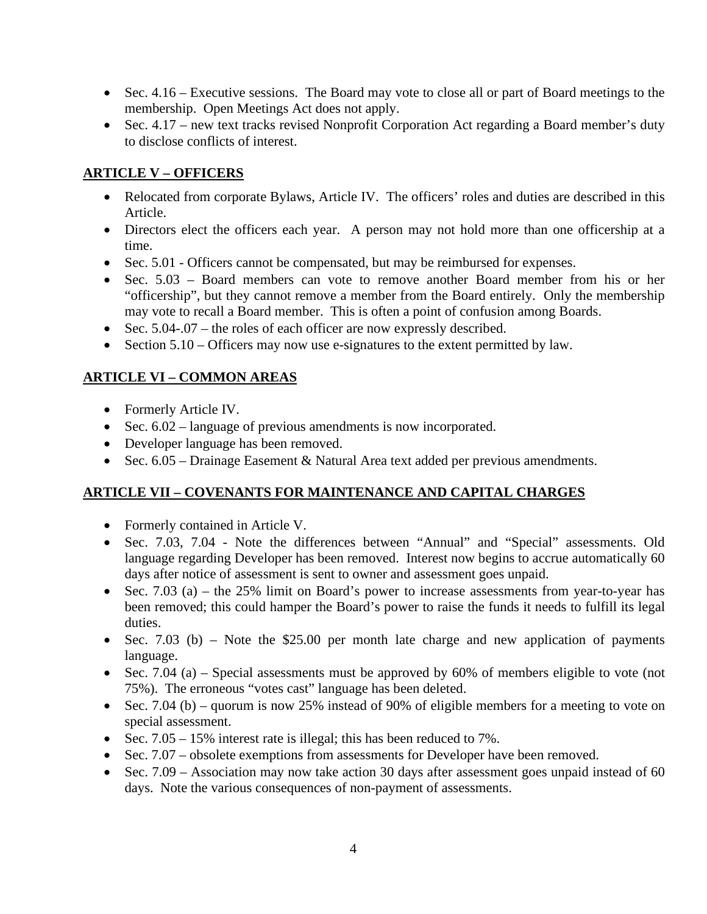- Sec. 4.16 Executive sessions. The Board may vote to close all or part of Board meetings to the membership. Open Meetings Act does not apply.
- Sec. 4.17 new text tracks revised Nonprofit Corporation Act regarding a Board member's duty to disclose conflicts of interest.

# **ARTICLE V – OFFICERS**

- Relocated from corporate Bylaws, Article IV. The officers' roles and duties are described in this Article.
- Directors elect the officers each year. A person may not hold more than one officership at a time.
- Sec. 5.01 Officers cannot be compensated, but may be reimbursed for expenses.
- Sec. 5.03 Board members can vote to remove another Board member from his or her "officership", but they cannot remove a member from the Board entirely. Only the membership may vote to recall a Board member. This is often a point of confusion among Boards.
- Sec. 5.04-.07 the roles of each officer are now expressly described.
- Section 5.10 Officers may now use e-signatures to the extent permitted by law.

# **ARTICLE VI – COMMON AREAS**

- Formerly Article IV.
- Sec.  $6.02$  language of previous amendments is now incorporated.
- Developer language has been removed.
- Sec. 6.05 Drainage Easement & Natural Area text added per previous amendments.

# **ARTICLE VII – COVENANTS FOR MAINTENANCE AND CAPITAL CHARGES**

- Formerly contained in Article V.
- Sec. 7.03, 7.04 Note the differences between "Annual" and "Special" assessments. Old language regarding Developer has been removed. Interest now begins to accrue automatically 60 days after notice of assessment is sent to owner and assessment goes unpaid.
- Sec. 7.03 (a) the 25% limit on Board's power to increase assessments from year-to-year has been removed; this could hamper the Board's power to raise the funds it needs to fulfill its legal duties.
- Sec. 7.03 (b) Note the \$25.00 per month late charge and new application of payments language.
- Sec. 7.04 (a) Special assessments must be approved by 60% of members eligible to vote (not 75%). The erroneous "votes cast" language has been deleted.
- Sec. 7.04 (b) quorum is now 25% instead of 90% of eligible members for a meeting to vote on special assessment.
- Sec. 7.05 15% interest rate is illegal; this has been reduced to 7%.
- Sec. 7.07 obsolete exemptions from assessments for Developer have been removed.
- Sec. 7.09 Association may now take action 30 days after assessment goes unpaid instead of 60 days. Note the various consequences of non-payment of assessments.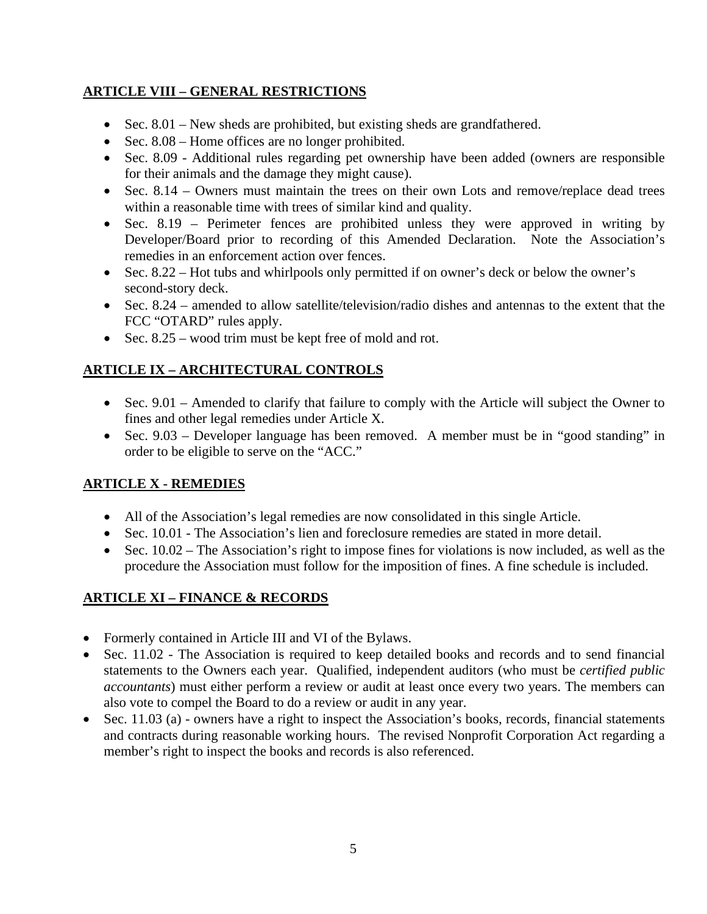# **ARTICLE VIII – GENERAL RESTRICTIONS**

- Sec. 8.01 New sheds are prohibited, but existing sheds are grandfathered.
- Sec. 8.08 Home offices are no longer prohibited.
- Sec. 8.09 Additional rules regarding pet ownership have been added (owners are responsible for their animals and the damage they might cause).
- Sec. 8.14 Owners must maintain the trees on their own Lots and remove/replace dead trees within a reasonable time with trees of similar kind and quality.
- Sec. 8.19 Perimeter fences are prohibited unless they were approved in writing by Developer/Board prior to recording of this Amended Declaration. Note the Association's remedies in an enforcement action over fences.
- Sec. 8.22 Hot tubs and whirlpools only permitted if on owner's deck or below the owner's second-story deck.
- Sec. 8.24 amended to allow satellite/television/radio dishes and antennas to the extent that the FCC "OTARD" rules apply.
- Sec. 8.25 wood trim must be kept free of mold and rot.

# **ARTICLE IX – ARCHITECTURAL CONTROLS**

- Sec. 9.01 Amended to clarify that failure to comply with the Article will subject the Owner to fines and other legal remedies under Article X.
- Sec. 9.03 Developer language has been removed. A member must be in "good standing" in order to be eligible to serve on the "ACC."

#### **ARTICLE X - REMEDIES**

- All of the Association's legal remedies are now consolidated in this single Article.
- Sec. 10.01 The Association's lien and foreclosure remedies are stated in more detail.
- Sec. 10.02 The Association's right to impose fines for violations is now included, as well as the procedure the Association must follow for the imposition of fines. A fine schedule is included.

#### **ARTICLE XI – FINANCE & RECORDS**

- Formerly contained in Article III and VI of the Bylaws.
- Sec. 11.02 The Association is required to keep detailed books and records and to send financial statements to the Owners each year. Qualified, independent auditors (who must be *certified public accountants*) must either perform a review or audit at least once every two years. The members can also vote to compel the Board to do a review or audit in any year.
- Sec. 11.03 (a) owners have a right to inspect the Association's books, records, financial statements and contracts during reasonable working hours. The revised Nonprofit Corporation Act regarding a member's right to inspect the books and records is also referenced.